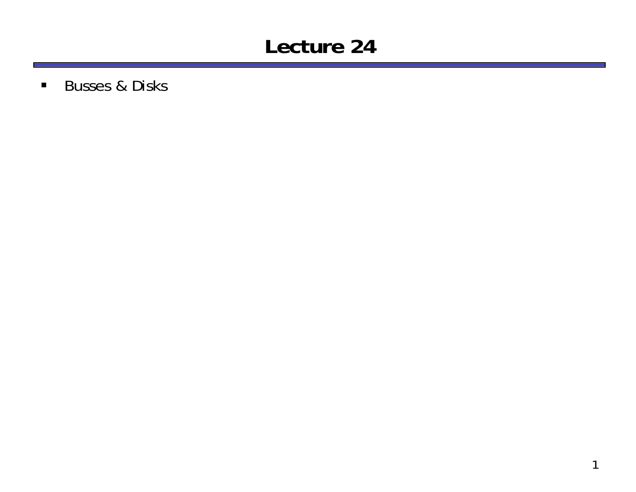#### **Lecture 24**

■ Busses & Disks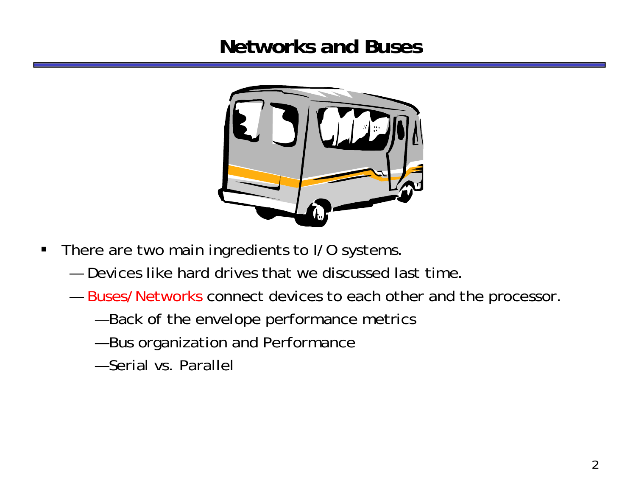#### **Networks and Buses**



- $\blacksquare$  There are two main ingredients to I/O systems.
	- Devices like hard drives that we discussed last time.
	- — $-$  Buses/Networks connect devices to each other and the processor.
		- Back of the envelope performance metrics
		- Bus organization and Performance
		- Serial vs. Parallel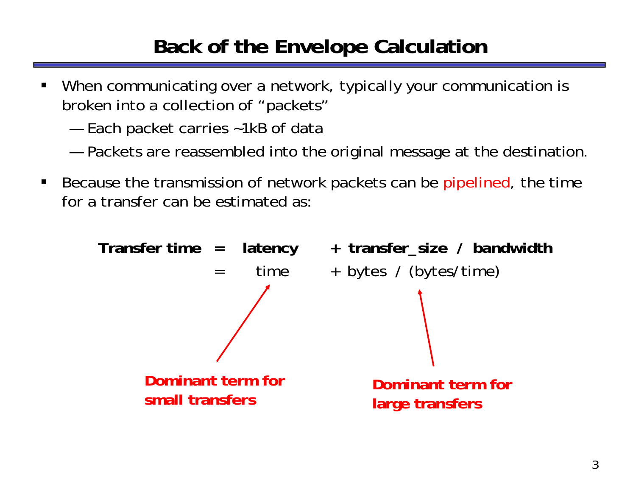# **Back of the Envelope Calculation**

- ш When communicating over a network, typically your communication is broken into a collection of "packets"
	- Each packet carries ~1kB of data
	- —Packets are reassembled into the original message at the destination.
- $\blacksquare$  Because the transmission of network packets can be pipelined, the time for a transfer can be estimated as:

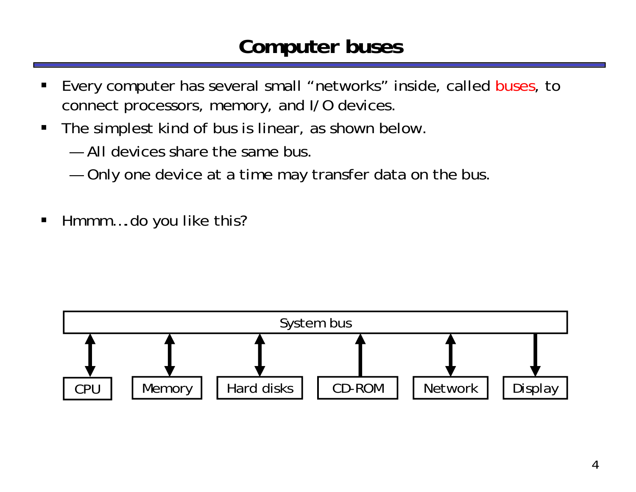#### **Computer buses**

- ш Every computer has several small "networks" inside, called buses, to connect processors, memory, and I/O devices.
- $\blacksquare$  The simplest kind of bus is linear, as shown below.
	- All devices share the same bus.
	- Only one device at a time may transfer data on the bus.
- $\blacksquare$ Hmmm….do you like this?

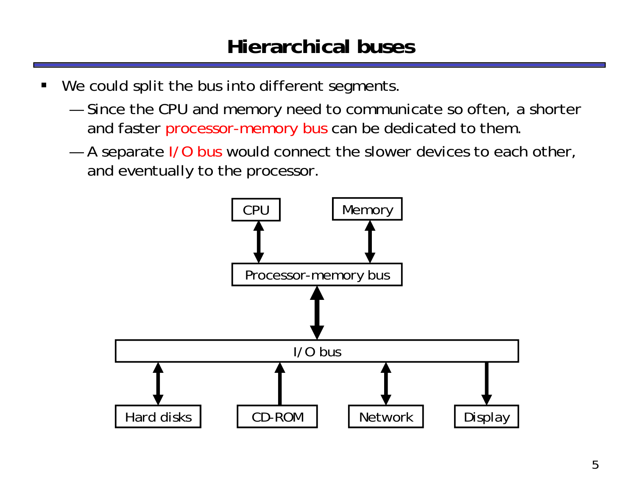- ш We could split the bus into different segments.
	- Since the CPU and memory need to communicate so often, a shorter and faster processor-memory bus can be dedicated to them.
	- —A separate I/O bus would connect the slower devices to each other, and eventually to the processor.

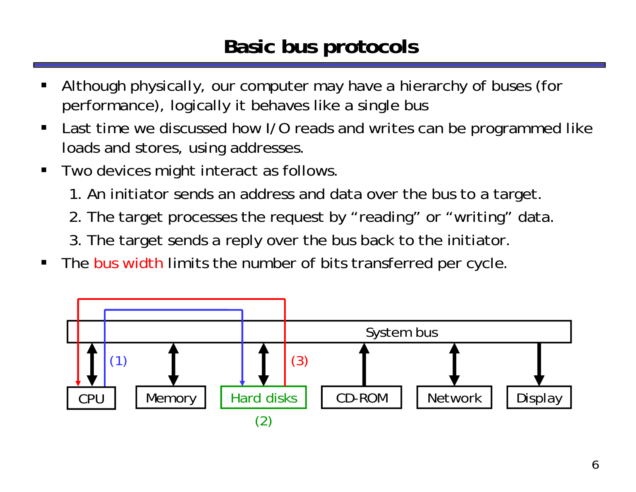### **Basic bus protocols**

- ш Although physically, our computer may have a hierarchy of buses (for performance), logically it behaves like a single bus
- $\blacksquare$  Last time we discussed how I/O reads and writes can be programmed like loads and stores, using addresses.
- $\blacksquare$  Two devices might interact as follows.
	- 1. An initiator sends an address and data over the bus to a target.
	- 2. The target processes the request by "reading" or "writing" data.
	- 3. The target sends a reply over the bus back to the initiator.
- $\blacksquare$ The bus width limits the number of bits transferred per cycle.

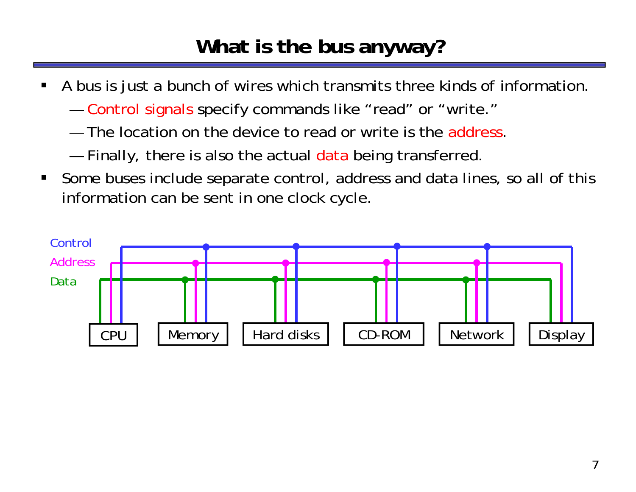## **What is the bus anyway?**

- $\blacksquare$  A bus is just a bunch of wires which transmits three kinds of information.
	- — Control signals specify commands like "read" or "write."
	- $-$  The location on the device to read or write is the address.
	- Finally, there is also the actual data being transferred.
- $\blacksquare$  Some buses include separate control, address and data lines, so all of this information can be sent in one clock cycle.

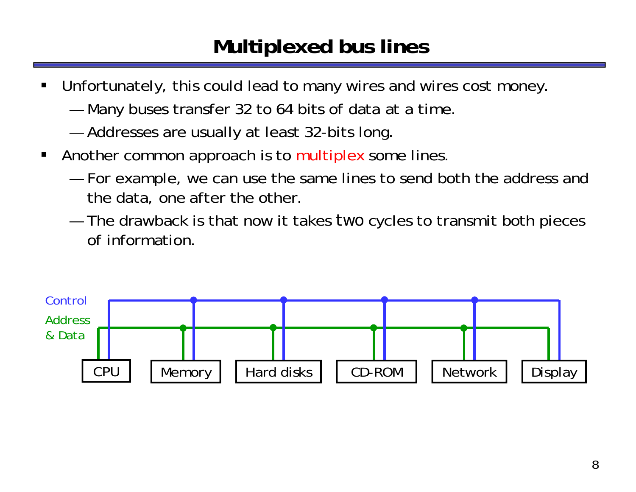#### **Multiplexed bus lines**

- ш Unfortunately, this could lead to many wires and wires cost money.
	- Many buses transfer 32 to 64 bits of data at a time.
	- —Addresses are usually at least 32-bits long.
- $\blacksquare$  Another common approach is to multiplex some lines.
	- For example, we can use the same lines to send both the address and the data, one after the other.
	- The drawback is that now it takes *two* cycles to transmit both pieces of information.

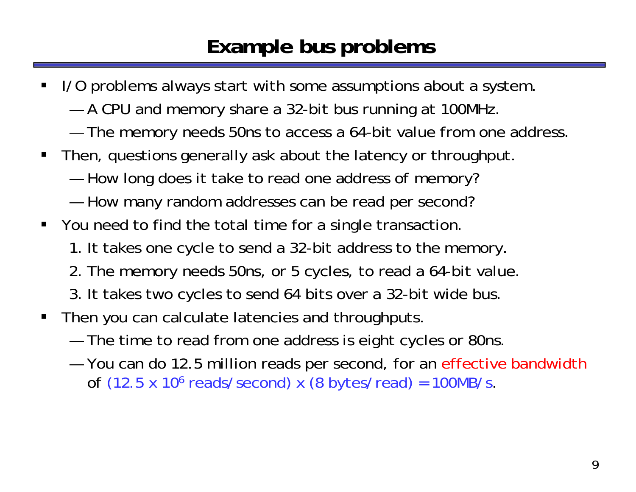## **Example bus problems**

- ш I/O problems always start with some assumptions about a system.
	- A CPU and memory share a 32-bit bus running at 100MHz.
	- —The memory needs 50ns to access a 64-bit value from one address.
- П Then, questions generally ask about the latency or throughput.
	- How long does it take to read one address of memory?
	- How many random addresses can be read per second?
- You need to find the total time for a single transaction.
	- 1. It takes one cycle to send a 32-bit address to the memory.
	- 2. The memory needs 50ns, or 5 cycles, to read a 64-bit value.
	- 3. It takes two cycles to send 64 bits over a 32-bit wide bus.
- $\blacksquare$  Then you can calculate latencies and throughputs.
	- The time to read from one address is eight cycles or 80ns.
	- —You can do 12.5 million reads per second, for an effective bandwidth of  $(12.5 \times 10^6 \text{ reads/second}) \times (8 \text{ bytes/read}) = 100 \text{MB/s}.$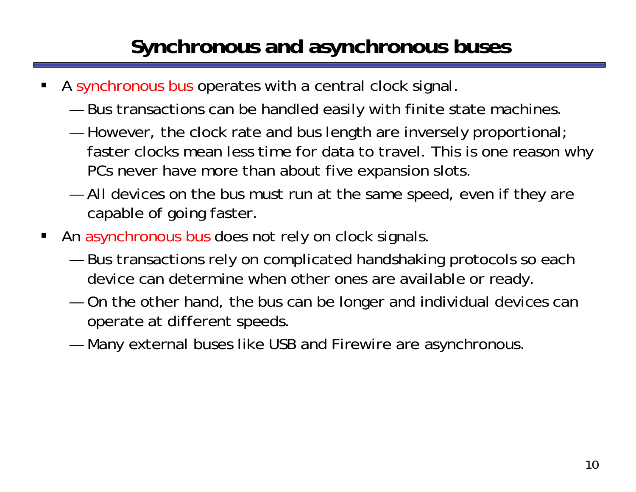# **Synchronous and asynchronous buses**

- ш A synchronous bus operates with a central clock signal.
	- Bus transactions can be handled easily with finite state machines.
	- — However, the clock rate and bus length are inversely proportional; faster clocks mean less time for data to travel. This is one reason why PCs never have more than about five expansion slots.
	- All devices on the bus must run at the same speed, even if they are capable of going faster.
- п An asynchronous bus does not rely on clock signals.
	- Bus transactions rely on complicated handshaking protocols so each device can determine when other ones are available or ready.
	- On the other hand, the bus can be longer and individual devices can operate at different speeds.
	- —Many external buses like USB and Firewire are asynchronous.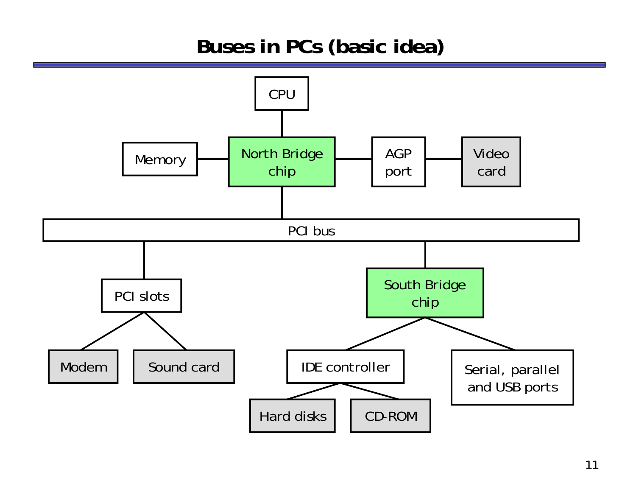#### **Buses in PCs (basic idea)**

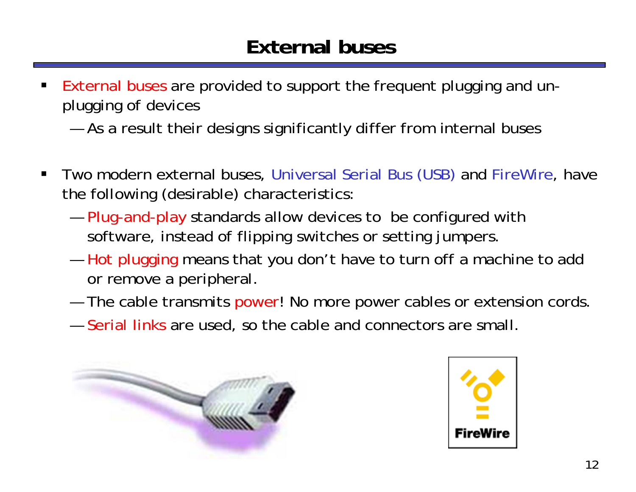### **External buses**

- $\blacksquare$  External buses are provided to support the frequent plugging and unplugging of devices
	- ——— As a result their designs significantly differ from internal buses
- $\blacksquare$  Two modern external buses, Universal Serial Bus (USB) and FireWire, have the following (desirable) characteristics:
	- $-$  Plug-and-play standards allow devices to be configured with software, instead of flipping switches or setting jumpers.
	- — Hot plugging means that you don't have to turn off a machine to add or remove a peripheral.
	- ——— The cable transmits power! No more power cables or extension cords
	- Serial links are used, so the cable and connectors are small.



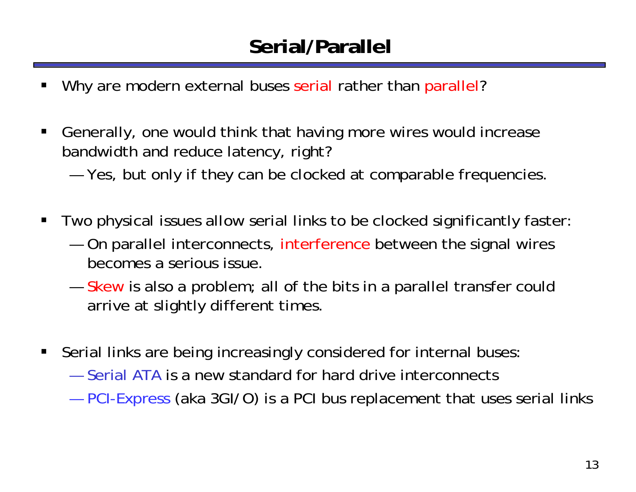## **Serial/Parallel**

- ш Why are modern external buses serial rather than parallel?
- $\blacksquare$  Generally, one would think that having more wires would increase bandwidth and reduce latency, right?

—Yes, but only if they can be clocked at comparable frequencies.

- $\blacksquare$  Two physical issues allow serial links to be clocked significantly faster:
	- On parallel interconnects, interference between the signal wires becomes a serious issue.
	- Skew is also a problem; all of the bits in a parallel transfer could arrive at slightly different times.
- $\blacksquare$  Serial links are being increasingly considered for internal buses:
	- Serial ATA is a new standard for hard drive interconnects
	- **Market Communication** PCI-Express (aka 3GI/O) is a PCI bus replacement that uses serial links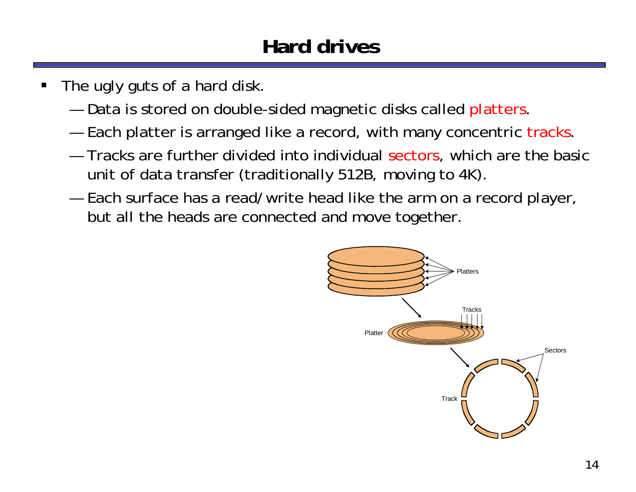## **Hard drives**

- ш The ugly guts of a hard disk.
	- Data is stored on double-sided magnetic disks called platters
	- —Each platter is arranged like a record, with many concentric tracks.
	- Tracks are further divided into individual sectors, which are the basic unit of data transfer (traditionally 512B, moving to 4K).
	- Each surface has a read/write head like the arm on a record player, but all the heads are connected and move together.

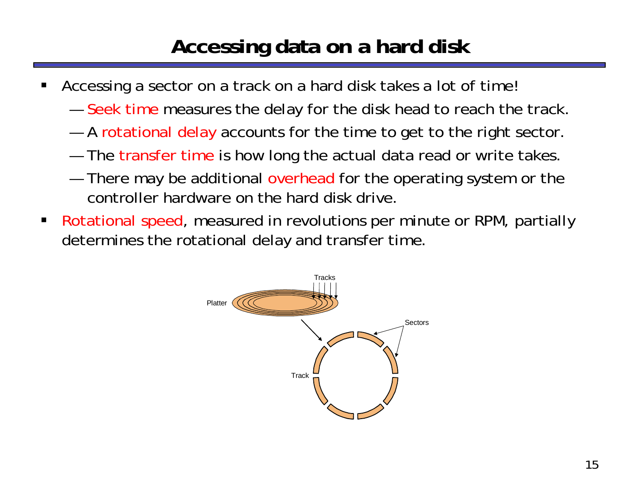# **Accessing data on a hard disk**

- ш Accessing a sector on a track on a hard disk takes a lot of time!
	- $-$  Seek time measures the delay for the disk head to reach the track.
	- —A rotational delay accounts for the time to get to the right sector
	- $-$  The  $\sf{transfer\ time}$  is how long the actual data read or write takes.
	- There may be additional overhead for the operating system or the controller hardware on the hard disk drive.
- $\blacksquare$  Rotational speed, measured in revolutions per minute or RPM, partially determines the rotational delay and transfer time.

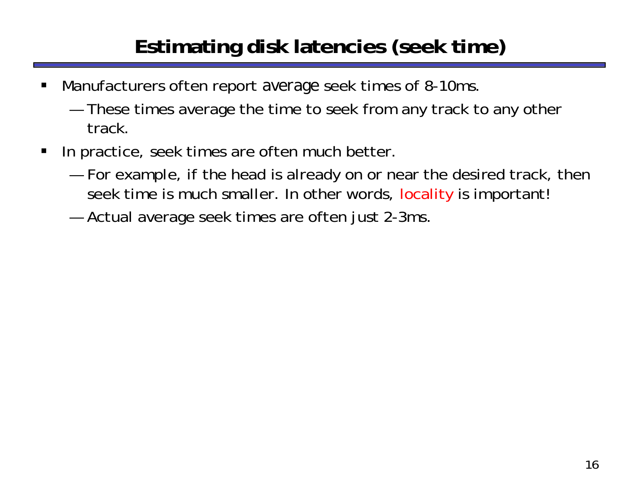# **Estimating disk latencies (seek time)**

- $\blacksquare$  Manufacturers often report *average* seek times of 8-10ms.
	- These times average the time to seek from any track to any other track.
- $\blacksquare$  In practice, seek times are often much better.
	- For example, if the head is already on or near the desired track, then seek time is much smaller. In other words, locality is important!
	- Actual average seek times are often just 2-3ms.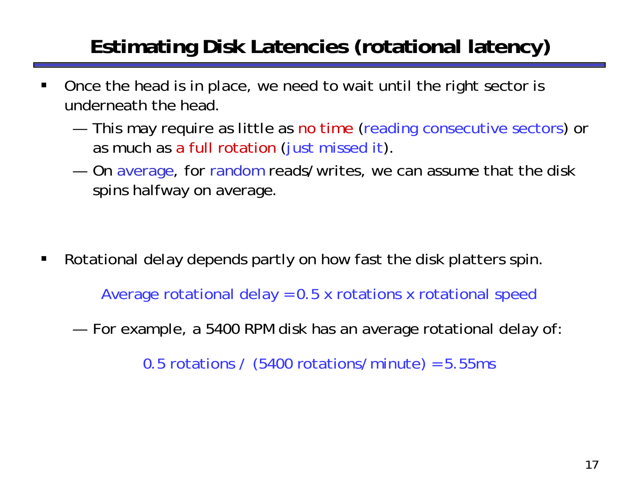# **Estimating Disk Latencies (rotational latency)**

- $\blacksquare$  Once the head is in place, we need to wait until the right sector is underneath the head.
	- This may require as little as no time (reading consecutive sectors) or as much as a full rotation (just missed it).
	- — On average, for random reads/writes, we can assume that the disk spins halfway on average.

 $\blacksquare$ Rotational delay depends partly on how fast the disk platters spin.

Average rotational delay = 0.5 x rotations x rotational speed

—For example, a 5400 RPM disk has an average rotational delay of:

0.5 rotations /  $(5400 \text{ rotations/minute}) = 5.55 \text{ms}$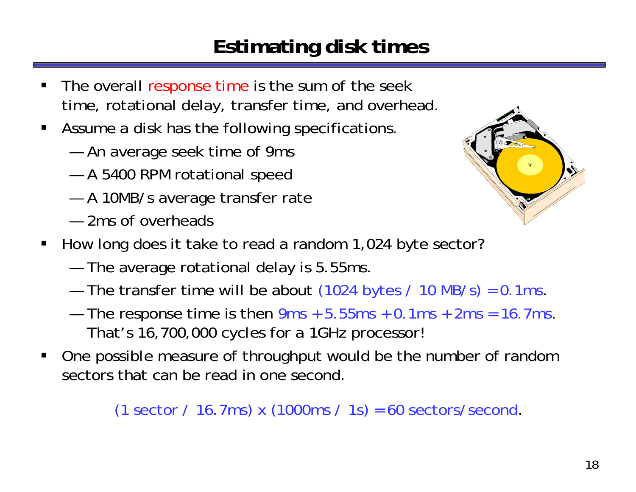# **Estimating disk times**

- ш The overall response time is the sum of the seek time, rotational delay, transfer time, and overhead.
- **Assume a disk has the following specifications** 
	- —An average seek time of 9ms
	- A 5400 RPM rotational speed
	- A 10MB/s average transfer rate
	- 2ms of overheads



- $\blacksquare$  How long does it take to read a random 1,024 byte sector?
	- —The average rotational delay is 5.55ms.
	- The transfer time will be about  $(1024 \text{ bytes} / 10 \text{ MB/s}) = 0.1 \text{ ms}$ .
	- The response time is then  $9ms + 5.55ms + 0.1ms + 2ms = 16.7ms$ . That's 16,700,000 cycles for a 1GHz processor!
- ш One possible measure of throughput would be the number of random sectors that can be read in one second.

(1 sector / 16.7ms) x  $(1000 \text{ms} / 1 \text{s}) = 60 \text{ sectors/second.}$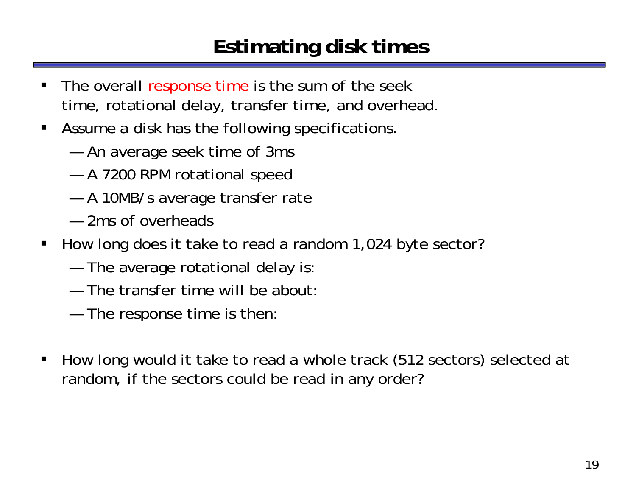## **Estimating disk times**

- ш The overall response time is the sum of the seek time, rotational delay, transfer time, and overhead.
- **Assume a disk has the following specifications** 
	- —An average seek time of 3ms
	- A 7200 RPM rotational speed
	- A 10MB/s average transfer rate
	- 2ms of overheads
- $\blacksquare$  How long does it take to read a random 1,024 byte sector?
	- —The average rotational delay is:
	- The transfer time will be about:
	- The response time is then:
- $\blacksquare$  How long would it take to read a whole track (512 sectors) selected at random, if the sectors could be read in any order?